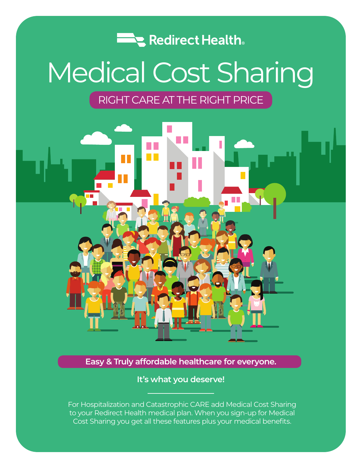

# Medical Cost Sharing

### RIGHT CARE AT THE RIGHT PRICE



**Easy & Truly affordable healthcare for everyone.** 

**It's what you deserve!**

For Hospitalization and Catastrophic CARE add Medical Cost Sharing to your Redirect Health medical plan. When you sign-up for Medical Cost Sharing you get all these features plus your medical benefits.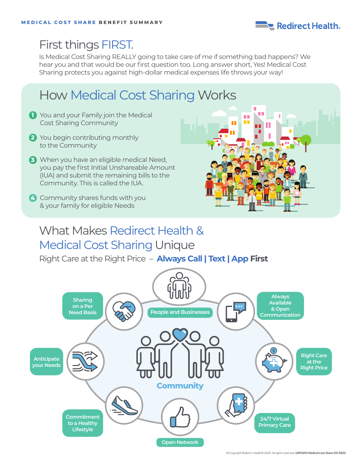

## First things FIRST.

Is Medical Cost Sharing REALLY going to take care of me if something bad happens? We hear you and that would be our first question too. Long answer short, Yes! Medical Cost Sharing protects you against high-dollar medical expenses life throws your way!

# How Medical Cost Sharing Works

- **1** You and your Family join the Medical Cost Sharing Community
- **2** You begin contributing monthly to the Community
- **3** When you have an eligible medical Need, you pay the first Initial Unshareable Amount (IUA) and submit the remaining bills to the Community. This is called the IUA.
- **4** Community shares funds with you & your family for eligible Needs



## What Makes Redirect Health & Medical Cost Sharing Unique

Right Care at the Right Price – **Always Call | Text | App First**

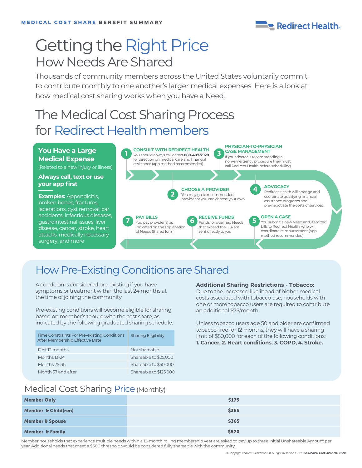

# Getting the Right Price How Needs Are Shared

Thousands of community members across the United States voluntarily commit to contribute monthly to one another's larger medical expenses. Here is a look at how medical cost sharing works when you have a Need.

# The Medical Cost Sharing Process for Redirect Health members

#### **You Have a Large Medical Expense**

(Related to a new injury or illness)

#### **Always call, text or use your app first**

**Examples: Appendicitis,** broken bones, fractures, lacerations, cyst removal, car accidents, infectious diseases, gastrointestinal issues, liver disease, cancer, stroke, heart attacks, medically necessary surgery, and more



### How Pre-Existing Conditions are Shared

A condition is considered pre-existing if you have symptoms or treatment within the last 24 months at the time of joining the community.

Pre-existing conditions will become eligible for sharing based on member's tenure with the cost share, as indicated by the following graduated sharing schedule:

| Time Constraints For Pre-existing Conditions<br>After Membership Effective Date | <b>Sharing Eligibility</b> |
|---------------------------------------------------------------------------------|----------------------------|
| First 12 months                                                                 | Not shareable              |
| Months 13-24                                                                    | Shareable to \$25,000      |
| Months 25-36                                                                    | Shareable to \$50,000      |
| Month 37 and after                                                              | Shareable to \$125,000     |

#### **Additional Sharing Restrictions - Tobacco:**

Due to the increased likelihood of higher medical costs associated with tobacco use, households with one or more tobacco users are required to contribute an additional \$75/month.

Unless tobacco users age 50 and older are confirmed tobacco-free for 12 months, they will have a sharing limit of \$50,000 for each of the following conditions: **1. Cancer, 2. Heart conditions, 3. COPD, 4. Stroke.** 

### Medical Cost Sharing Price (Monthly)

| <b>Member Only</b>             | \$175 |
|--------------------------------|-------|
| <b>Member &amp; Child(ren)</b> | \$365 |
| <b>Member &amp; Spouse</b>     | \$365 |
| <b>Member &amp; Family</b>     | \$520 |

Member households that experience multiple needs within a 12-month rolling membership year are asked to pay up to three Initial Unshareable Amount per year. Additional needs that meet a \$500 threshold would be considered fully shareable with the community.